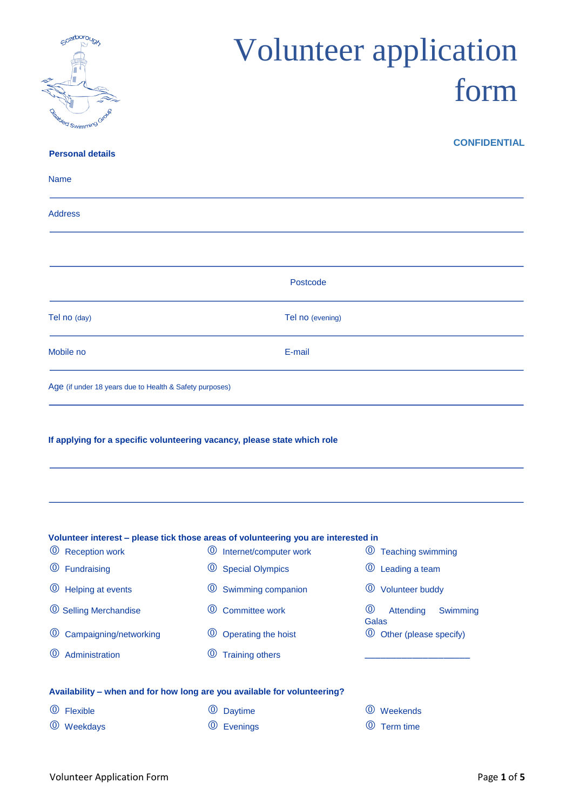**Personal details** 

# Volunteer application form

**CONFIDENTIAL**

| <b>Name</b>                                             |                  |  |
|---------------------------------------------------------|------------------|--|
| <b>Address</b>                                          |                  |  |
|                                                         |                  |  |
|                                                         | Postcode         |  |
| Tel no (day)                                            | Tel no (evening) |  |
| Mobile no                                               | E-mail           |  |
| Age (if under 18 years due to Health & Safety purposes) |                  |  |
|                                                         |                  |  |

# **If applying for a specific volunteering vacancy, please state which role**

# **Volunteer interest – please tick those areas of volunteering you are interested in**

|  | <sup>(0)</sup> Reception wor |  |
|--|------------------------------|--|
|--|------------------------------|--|

- 
- 
- 
- **O** Campaigning/networking **O** Operating the hoist **O** Other (please specify)
- <sup>1</sup>  $\Phi$  Administration  $\Phi$  Training others
- 
- 
- 
- 
- Reception work **Internet/computer work Internet/computer work Internet/computer work Internet**
- **O** Fundraising **C** Special Olympics **C** Leading a team
- <sup>1</sup> Melping at events **Subject CO** Swimming companion **C** Volunteer buddy

**O** Selling Merchandise **C** Committee work **C** Attending Swimming **Galas** 

# **Availability – when and for how long are you available for volunteering?**

- **O** Flexible **C** Daytime **C** Daytime **C** Weekends
- **O** Weekdays **C** Evenings **C** Evenings **C** Term time
- -
- 
-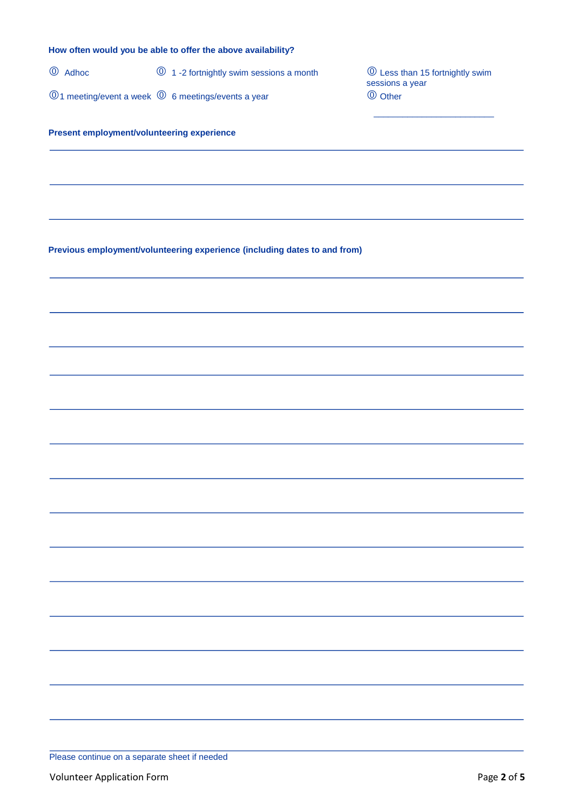# **How often would you be able to offer the above availability?**

Adhoc 1 -2 fortnightly swim sessions a month Less than 15 fortnightly swim

sessions a year

 $\overline{\phantom{a}}$  , which is a substitution of the set of the set of the set of the set of the set of the set of the set of the set of the set of the set of the set of the set of the set of the set of the set of the set of the

01 meeting/event a week 0 6 meetings/events a year 0 Other

# **Present employment/volunteering experience**

**Previous employment/volunteering experience (including dates to and from)**

Please continue on a separate sheet if needed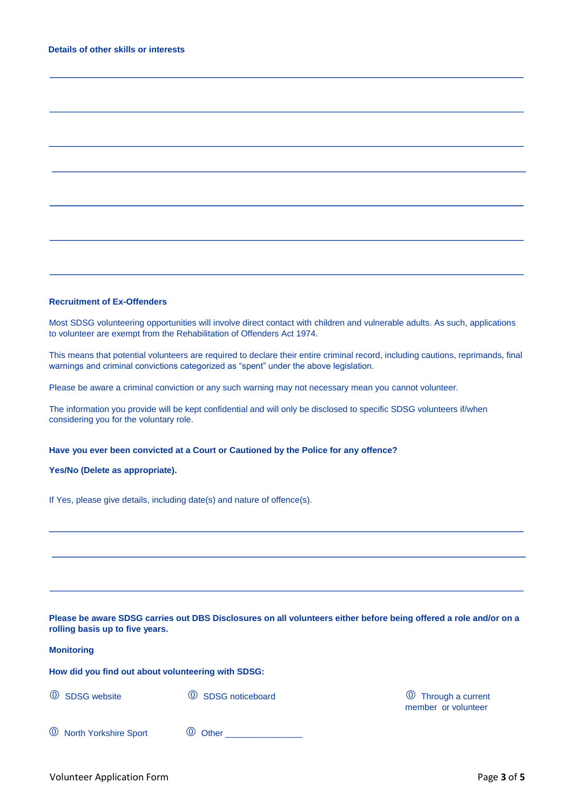# **Recruitment of Ex-Offenders**

Most SDSG volunteering opportunities will involve direct contact with children and vulnerable adults. As such, applications to volunteer are exempt from the Rehabilitation of Offenders Act 1974.

This means that potential volunteers are required to declare their entire criminal record, including cautions, reprimands, final warnings and criminal convictions categorized as "spent" under the above legislation.

Please be aware a criminal conviction or any such warning may not necessary mean you cannot volunteer.

The information you provide will be kept confidential and will only be disclosed to specific SDSG volunteers if/when considering you for the voluntary role.

#### **Have you ever been convicted at a Court or Cautioned by the Police for any offence?**

# **Yes/No (Delete as appropriate).**

If Yes, please give details, including date(s) and nature of offence(s).

**Please be aware SDSG carries out DBS Disclosures on all volunteers either before being offered a role and/or on a rolling basis up to five years.** 

### **Monitoring**

**How did you find out about volunteering with SDSG:**

|  | <b>W</b> SDSG website |
|--|-----------------------|
|  |                       |

<sup>1</sup> O North Yorkshire Sport <sup>1</sup> O Other 20 North Yorkshire Sport

 $\circledR$  SDSG noticeboard  $\circledR$  Through a current member or volunteer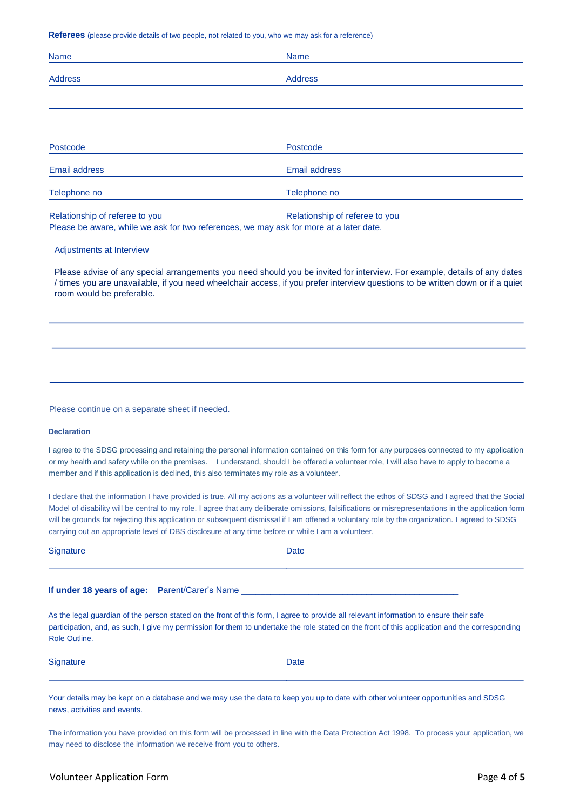**Referees** (please provide details of two people, not related to you, who we may ask for a reference)

| <b>Name</b>                                                                            | <b>Name</b>                    |  |
|----------------------------------------------------------------------------------------|--------------------------------|--|
| <b>Address</b>                                                                         | <b>Address</b>                 |  |
|                                                                                        |                                |  |
|                                                                                        |                                |  |
| Postcode                                                                               | Postcode                       |  |
| <b>Email address</b>                                                                   | <b>Email address</b>           |  |
| Telephone no                                                                           | Telephone no                   |  |
| Relationship of referee to you                                                         | Relationship of referee to you |  |
| Please be aware, while we ask for two references, we may ask for more at a later date. |                                |  |

#### Adjustments at Interview

Please advise of any special arrangements you need should you be invited for interview. For example, details of any dates / times you are unavailable, if you need wheelchair access, if you prefer interview questions to be written down or if a quiet room would be preferable.

Please continue on a separate sheet if needed.

#### **Declaration**

I agree to the SDSG processing and retaining the personal information contained on this form for any purposes connected to my application or my health and safety while on the premises. I understand, should I be offered a volunteer role, I will also have to apply to become a member and if this application is declined, this also terminates my role as a volunteer.

I declare that the information I have provided is true. All my actions as a volunteer will reflect the ethos of SDSG and I agreed that the Social Model of disability will be central to my role. I agree that any deliberate omissions, falsifications or misrepresentations in the application form will be grounds for rejecting this application or subsequent dismissal if I am offered a voluntary role by the organization. I agreed to SDSG carrying out an appropriate level of DBS disclosure at any time before or while I am a volunteer.

| <b>Signature</b> | Date |
|------------------|------|
|                  |      |

#### **If under 18 years of age: Parent/Carer's Name**

As the legal guardian of the person stated on the front of this form, I agree to provide all relevant information to ensure their safe participation, and, as such, I give my permission for them to undertake the role stated on the front of this application and the corresponding Role Outline.

| <b>Signature</b> | Date |
|------------------|------|
|------------------|------|

Your details may be kept on a database and we may use the data to keep you up to date with other volunteer opportunities and SDSG news, activities and events.

The information you have provided on this form will be processed in line with the Data Protection Act 1998. To process your application, we may need to disclose the information we receive from you to others.